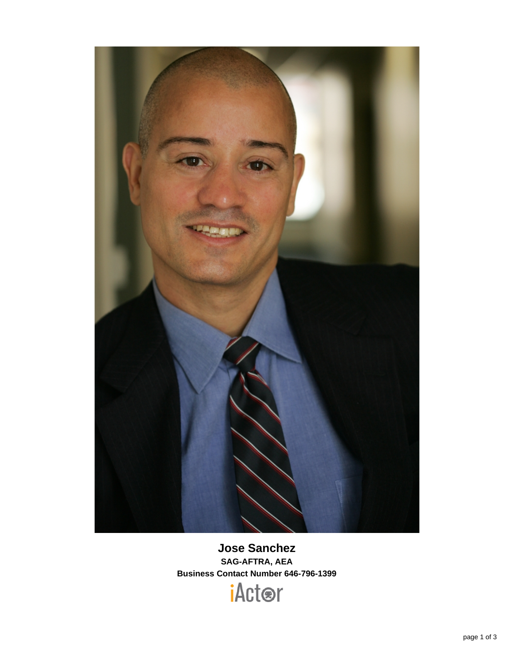

**Jose Sanchez SAG-AFTRA, AEA Business Contact Number 646-796-1399**

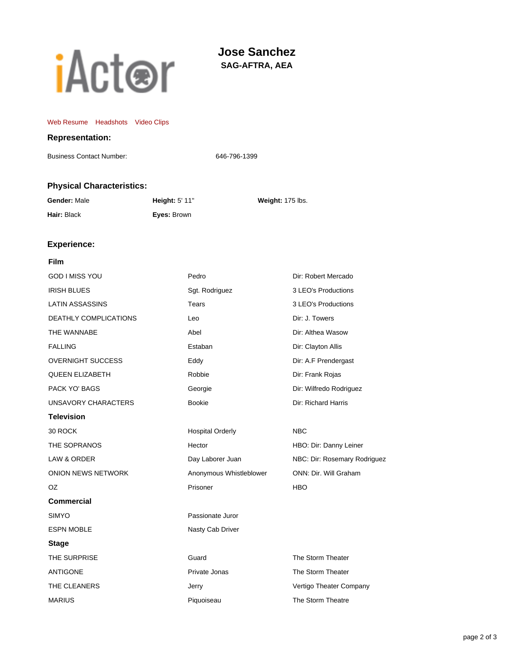# **iActor**

# **Jose Sanchez SAG-AFTRA, AEA**

#### [Web Resume](http://www.sagaftra.org/iactor/JoseSanchez.html) [Headshots](http://www.sagaftra.org:80/ocs/media/public/slideshow/getMediaForResume?resumeId=1935f6aec554a1581e2d6f7712b698157ccd91b9:57a6ce7c:12539&mediaType=headshot) [Video Clips](http://www.sagaftra.org:80/ocs/media/public/slideshow/getMediaForResume?resumeId=1935f6aec554a1581e2d6f7712b698157ccd91b9:57a6ce7c:12539&mediaType=video)

## **Representation:**

Business Contact Number: 646-796-1399

## **Physical Characteristics:**

| Gender: Male | <b>Height: 5' 11"</b> | Weight: 175 lbs. |
|--------------|-----------------------|------------------|
| Hair: Black  | Eyes: Brown           |                  |

## **Experience:**

## **Film**

| GOD I MISS YOU               | Pedro                   | Dir: Robert Mercado          |
|------------------------------|-------------------------|------------------------------|
| <b>IRISH BLUES</b>           | Sgt. Rodriguez          | 3 LEO's Productions          |
| <b>LATIN ASSASSINS</b>       | Tears                   | 3 LEO's Productions          |
| <b>DEATHLY COMPLICATIONS</b> | Leo                     | Dir: J. Towers               |
| THE WANNABE                  | Abel                    | Dir: Althea Wasow            |
| <b>FALLING</b>               | Estaban                 | Dir: Clayton Allis           |
| <b>OVERNIGHT SUCCESS</b>     | Eddy                    | Dir: A.F Prendergast         |
| <b>QUEEN ELIZABETH</b>       | Robbie                  | Dir: Frank Rojas             |
| PACK YO' BAGS                | Georgie                 | Dir: Wilfredo Rodriguez      |
| UNSAVORY CHARACTERS          | <b>Bookie</b>           | Dir: Richard Harris          |
| <b>Television</b>            |                         |                              |
| 30 ROCK                      | <b>Hospital Orderly</b> | <b>NBC</b>                   |
| THE SOPRANOS                 | Hector                  | HBO: Dir: Danny Leiner       |
| LAW & ORDER                  | Day Laborer Juan        | NBC: Dir: Rosemary Rodriguez |
| <b>ONION NEWS NETWORK</b>    | Anonymous Whistleblower | ONN: Dir. Will Graham        |
| OZ.                          | Prisoner                | <b>HBO</b>                   |
| <b>Commercial</b>            |                         |                              |
| <b>SIMYO</b>                 | Passionate Juror        |                              |
| <b>ESPN MOBLE</b>            | Nasty Cab Driver        |                              |
| <b>Stage</b>                 |                         |                              |
| THE SURPRISE                 | Guard                   | The Storm Theater            |
| <b>ANTIGONE</b>              | Private Jonas           | The Storm Theater            |
| THE CLEANERS                 | Jerry                   | Vertigo Theater Company      |
| MARIUS                       | Piquoiseau              | The Storm Theatre            |